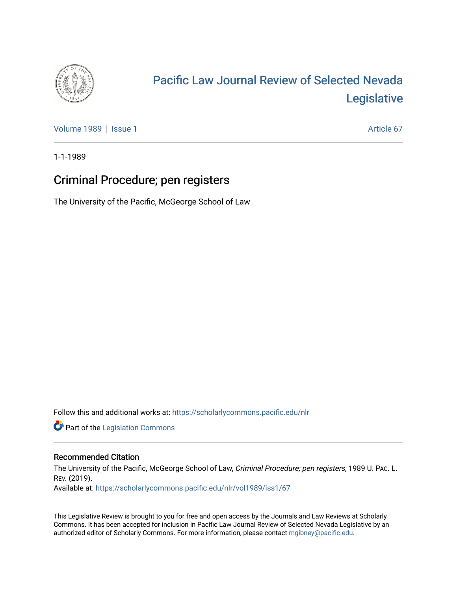

# [Pacific Law Journal Review of Selected Nevada](https://scholarlycommons.pacific.edu/nlr)  [Legislative](https://scholarlycommons.pacific.edu/nlr)

[Volume 1989](https://scholarlycommons.pacific.edu/nlr/vol1989) | [Issue 1](https://scholarlycommons.pacific.edu/nlr/vol1989/iss1) Article 67

1-1-1989

# Criminal Procedure; pen registers

The University of the Pacific, McGeorge School of Law

Follow this and additional works at: [https://scholarlycommons.pacific.edu/nlr](https://scholarlycommons.pacific.edu/nlr?utm_source=scholarlycommons.pacific.edu%2Fnlr%2Fvol1989%2Fiss1%2F67&utm_medium=PDF&utm_campaign=PDFCoverPages) 

**Part of the [Legislation Commons](http://network.bepress.com/hgg/discipline/859?utm_source=scholarlycommons.pacific.edu%2Fnlr%2Fvol1989%2Fiss1%2F67&utm_medium=PDF&utm_campaign=PDFCoverPages)** 

## Recommended Citation

The University of the Pacific, McGeorge School of Law, Criminal Procedure; pen registers, 1989 U. PAC. L. REV. (2019).

Available at: [https://scholarlycommons.pacific.edu/nlr/vol1989/iss1/67](https://scholarlycommons.pacific.edu/nlr/vol1989/iss1/67?utm_source=scholarlycommons.pacific.edu%2Fnlr%2Fvol1989%2Fiss1%2F67&utm_medium=PDF&utm_campaign=PDFCoverPages)

This Legislative Review is brought to you for free and open access by the Journals and Law Reviews at Scholarly Commons. It has been accepted for inclusion in Pacific Law Journal Review of Selected Nevada Legislative by an authorized editor of Scholarly Commons. For more information, please contact [mgibney@pacific.edu](mailto:mgibney@pacific.edu).